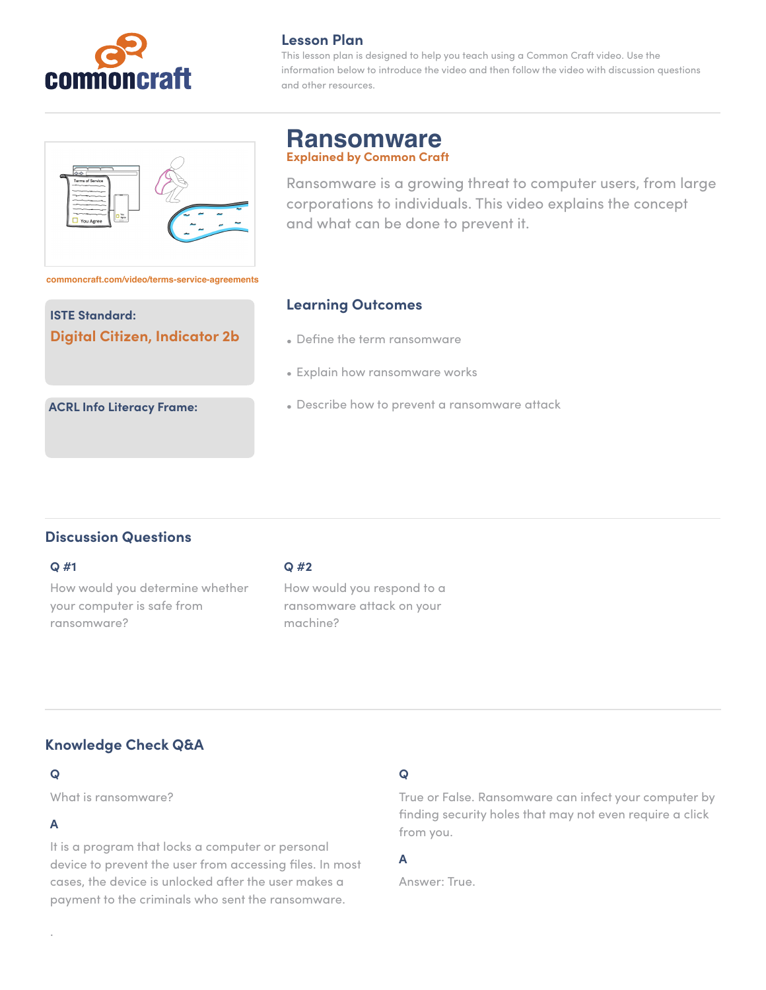

### **Lesson Plan**

This lesson plan is designed to help you teach using a Common Craft video. Use the information below to introduce the video and then follow the video with discussion questions and other resources.



## **Ransomware Explained by Common Craft**

Ransomware is a growing threat to computer users, from large corporations to individuals. This video explains the concept and what can be done to prevent it.

**[commoncraft.com/video/terms-service-agreements](https://www.commoncraft.com/video/terms-service-agreements)**

## **ISTE Standard: Digital Citizen, Indicator 2b**

## **Learning Outcomes**

- Define the term ransomware
- Explain how ransomware works
- Describe how to prevent a ransomware attack

# **Discussion Questions**

**ACRL Info Literacy Frame:**

### **Q #1**

How would you determine whether your computer is safe from ransomware?

### **Q #2**

How would you respond to a ransomware attack on your machine?

# **Knowledge Check Q&A**

## **Q**

What is ransomware?

## **A**

.

It is a program that locks a computer or personal device to prevent the user from accessing files. In most cases, the device is unlocked after the user makes a payment to the criminals who sent the ransomware.

# **Q**

True or False. Ransomware can infect your computer by finding security holes that may not even require a click from you.

# **A**

Answer: True.